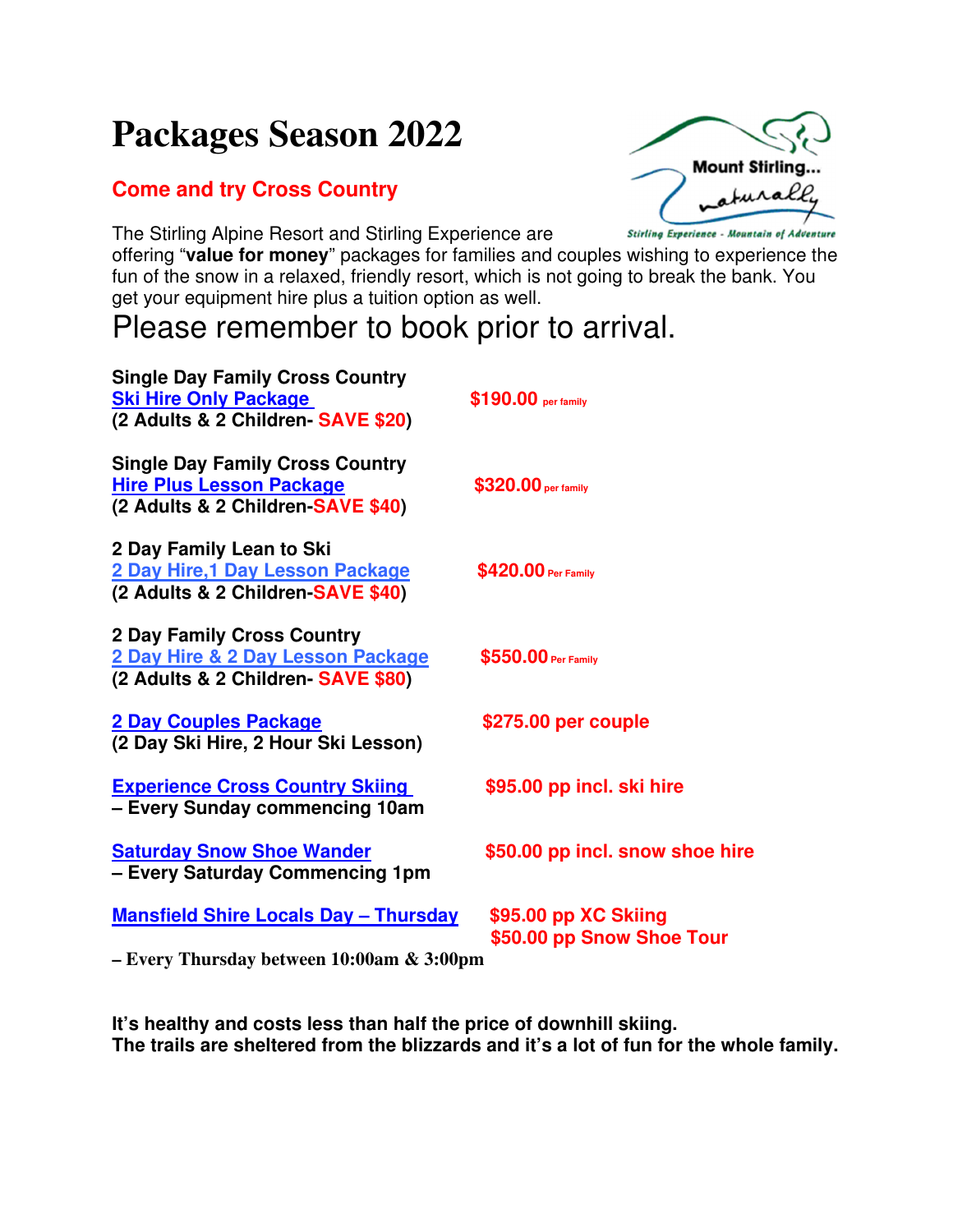## **Packages Season 2022**

## **Come and try Cross Country**

The Stirling Alpine Resort and Stirling Experience are



offering "**value for money**" packages for families and couples wishing to experience the fun of the snow in a relaxed, friendly resort, which is not going to break the bank. You get your equipment hire plus a tuition option as well.

## Please remember to book prior to arrival.

| \$190.00 per family                                                                                                                            |
|------------------------------------------------------------------------------------------------------------------------------------------------|
| \$320.00 per family                                                                                                                            |
| \$420.00 Per Family                                                                                                                            |
| \$550.00 Per Family                                                                                                                            |
| \$275.00 per couple                                                                                                                            |
| \$95.00 pp incl. ski hire                                                                                                                      |
| \$50.00 pp incl. snow shoe hire                                                                                                                |
| <b>Mansfield Shire Locals Day - Thursday</b><br>\$95.00 pp XC Skiing<br>\$50.00 pp Snow Shoe Tour<br>- Every Thursday between 10:00am & 3:00pm |
|                                                                                                                                                |

**It's healthy and costs less than half the price of downhill skiing. The trails are sheltered from the blizzards and it's a lot of fun for the whole family.**